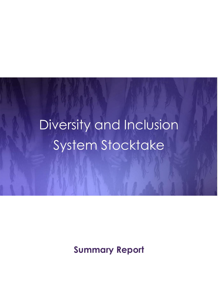# Diversity and Inclusion System Stocktake

**Summary Report**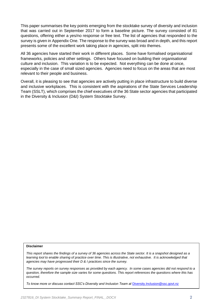This paper summarises the key points emerging from the stocktake survey of diversity and inclusion that was carried out in September 2017 to form a baseline picture. The survey consisted of 81 questions, offering either a yes/no response or free text. The list of agencies that responded to the survey is given in Appendix One. The response to the survey was broad and in depth, and this report presents some of the excellent work taking place in agencies, split into themes.

All 36 agencies have started their work in different places. Some have formalised organisational frameworks, policies and other settings. Others have focused on building their organisational culture and inclusion. This variation is to be expected. Not everything can be done at once, especially in the case of small sized agencies. Agencies need to focus on the areas that are most relevant to their people and business.

Overall, it is pleasing to see that agencies are actively putting in place infrastructure to build diverse and inclusive workplaces. This is consistent with the aspirations of the State Services Leadership Team (SSLT), which comprises the chief executives of the 36 State sector agencies that participated in the Diversity & Inclusion (D&I) System Stocktake Survey.

#### **Disclaimer**

*This report shares the findings of a survey of 36 agencies across the State sector. It is a snapshot designed as a*  learning tool to enable sharing of practice over time. This is illustrative, not exhaustive. It is acknowledged that *agencies may have progressed their D & I practices since the survey.*

*The survey reports on survey responses as provided by each agency. In some cases agencies did not respond to a question, therefore the sample size varies for some questions. This report references the questions where this has occurred.*

To know more or discuss contact SSC's Diversity and Inclusion Team at [Diversity.Inclusion@ssc.govt.nz](mailto:Diversity.Inclusion@ssc.govt.nz)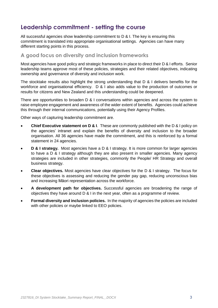## **Leadership commitment - setting the course**

All successful agencies show leadership commitment to D & I. The key is ensuring this commitment is translated into appropriate organisational settings. Agencies can have many different starting points in this process.

#### **A good focus on diversity and inclusion frameworks**

Most agencies have good policy and strategic frameworks in place to direct their D & I efforts. Senior leadership teams approve most of these policies, strategies and their related objectives, indicating ownership and governance of diversity and inclusion work.

The stocktake results also highlight the strong understanding that D & I delivers benefits for the workforce and organisational efficiency. D & I also adds value to the production of outcomes or results for citizens and New Zealand and this understanding could be deepened.

There are opportunities to broaden D & I conversations within agencies and across the system to raise employee engagement and awareness of the wider extent of benefits. Agencies could achieve this through their internal communications, potentially using their Agency Profiles.

Other ways of capturing leadership commitment are.

- **Chief Executive statement on D & I**. These are commonly published with the D & I policy on the agencies' intranet and explain the benefits of diversity and inclusion to the broader organisation. All 36 agencies have made the commitment, and this is reinforced by a formal statement in 24 agencies.
- **D & I strategy.** Most agencies have a D & I strategy. It is more common for larger agencies to have a D & I strategy although they are also present in smaller agencies. Many agency strategies are included in other strategies, commonly the People/ HR Strategy and overall business strategy.
- **Clear objectives.** Most agencies have clear objectives for the D & I strategy. The focus for these objectives is assessing and reducing the gender pay gap, reducing unconscious bias and increasing Māori representation across the workforce.
- **A development path for objectives.** Successful agencies are broadening the range of objectives they have around D & I in the next year, often as a programme of review.
- **Formal diversity and inclusion policies.** In the majority of agencies the policies are included with other policies or maybe linked to EEO policies.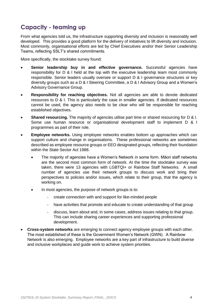## **Capacity - teaming up**

From what agencies told us, the infrastructure supporting diversity and inclusion is reasonably well developed. This provides a good platform for the delivery of initiatives to lift diversity and inclusion. Most commonly, organisational efforts are led by Chief Executives and/or their Senior Leadership Teams, reflecting SSLT's shared commitments.

More specifically, the stocktake survey found:

- **Senior leadership buy in and effective governance.** Successful agencies have responsibility for D & I held at the top with the executive leadership team most commonly responsible. Senior leaders usually oversee or support D & I governance structures or key diversity groups such as a D & I Steering Committee, a D & I Advisory Group and a Women's Advisory Governance Group.
- **Responsibility for reaching objectives.** Not all agencies are able to devote dedicated resources to D & I. This is particularly the case in smaller agencies. If dedicated resources cannot be used, the agency also needs to be clear who will be responsible for reaching established objectives.
- **Shared resourcing.** The majority of agencies utilise part time or shared resourcing for D & I. Some use human resource or organisational development staff to implement D & I programmes as part of their role.
- **Employee networks.** Using employee networks enables bottom up approaches which can support culture and change in organisations. These professional networks are sometimes described as employee resource groups or EEO designated groups, reflecting their foundation within the State Sector Act 1988.
	- The majority of agencies have a Women's Network in some form. Māori staff networks are the second most common form of network. At the time the stocktake survey was taken, there were 13 agencies with LGBTQI+ or Rainbow Staff Networks. A small number of agencies use their network groups to discuss work and bring their perspectives to policies and/or issues, which relate to their group, that the agency is working on.
	- In most agencies, the purpose of network groups is to:
		- create connection with and support for like-minded people
		- have activities that promote and educate to create understanding of that group
		- discuss, learn about and, in some cases, address issues relating to that group. This can include sharing career experiences and supporting professional development.
- **Cross-system networks** are emerging to connect agency employee groups with each other. The most established of these is the Government Women's Network (GWN). A Rainbow Network is also emerging. Employee networks are a key part of infrastructure to build diverse and inclusive workplaces and guide work to achieve system priorities.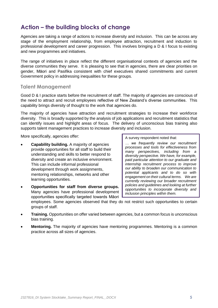## **Action – the building blocks of change**

Agencies are taking a range of actions to increase diversity and inclusion. This can be across any stage of the employment relationship, from employee attraction, recruitment and induction to professional development and career progression. This involves bringing a D & I focus to existing and new programmes and initiatives.

The range of initiatives in place reflect the different organisational contexts of agencies and the diverse communities they serve. It is pleasing to see that in agencies, there are clear priorities on gender, Māori and Pasifika consistent with chief executives shared commitments and current Government policy in addressing inequalities for these groups.

#### **Talent Management**

Good D & I practice starts before the recruitment of staff. The majority of agencies are conscious of the need to attract and recruit employees reflective of New Zealand's diverse communities. This capability brings diversity of thought to the work that agencies do.

The majority of agencies have attraction and recruitment strategies to increase their workforce diversity. This is broadly supported by the analysis of job applications and recruitment statistics that can identify issues and highlight areas of focus. The delivery of unconscious bias training also supports talent management practices to increase diversity and inclusion.

More specifically, agencies offer:

- **Capability building.** A majority of agencies provide opportunities for all staff to build their understanding and skills to better respond to diversity and create an inclusive environment. This can include informal professional development through work assignments, mentoring relationships, networks and other learning opportunities.
- **Opportunities for staff from diverse groups.** Many agencies have professional development opportunities specifically targeted towards Māori

A survey respondent noted that:

*… we frequently review our recruitment processes and tools for effectiveness from many perspectives, including from a diversity perspective. We have, for example, paid particular attention to our graduate and internship recruitment process to improve our ability to broaden our communication to potential applicants and to do so with engagement on their cultural terms. We are currently reviewing our broader recruitment policies and guidelines and looking at further opportunities to incorporate diversity and inclusion principles within them.*

employees. Some agencies observed that they do not restrict such opportunities to certain groups of staff.

- **Training.** Opportunities on offer varied between agencies, but a common focus is unconscious bias training.
- **Mentoring.** The majority of agencies have mentoring programmes. Mentoring is a common practice across all sizes of agencies.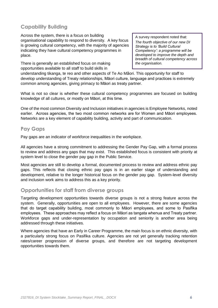## **Capability Building**

Across the system, there is a focus on building organisational capability to respond to diversity. A key focus is growing cultural competency, with the majority of agencies indicating they have cultural competency programmes in place.

There is generally an established focus on making opportunities available to all staff to build skills in

A survey respondent noted that:

*The fourth objective of our new DI Strategy is to 'Build Cultural Competency': a programme will be developed to improve the depth and breadth of cultural competency across the organisation.* 

understanding tikanga, te reo and other aspects of Te Ao Māori. This opportunity for staff to develop understanding of Treaty relationships, Māori culture, language and practices is extremely common among agencies, giving primacy to Māori as treaty partner.

What is not so clear is whether these cultural competency programmes are focused on building knowledge of all cultures, or mostly on Māori, at this time.

One of the most common Diversity and Inclusion initiatives in agencies is Employee Networks, noted earlier. Across agencies, the two most common networks are for Women and Māori employees. Networks are a key element of capability building, activity and part of communication.

#### **Pay Gaps**

Pay gaps are an indicator of workforce inequalities in the workplace.

All agencies have a strong commitment to addressing the Gender Pay Gap, with a formal process to review and address any gaps that may exist. This established focus is consistent with priority at system level to close the gender pay gap in the Public Service.

Most agencies are still to develop a formal, documented process to review and address ethnic pay gaps. This reflects that closing ethnic pay gaps is in an earlier stage of understanding and development, relative to the longer historical focus on the gender pay gap. System-level diversity and inclusion work aims to address this as a key priority.

#### **Opportunities for staff from diverse groups**

Targeting development opportunities towards diverse groups is not a strong feature across the system. Generally, opportunities are open to all employees. However, there are some agencies that do target capability building, most commonly to Māori employees, and some to Pasifika employees. These approaches may reflect a focus on Māori as tangata whenua and Treaty partner. Workforce gaps and under-representation by occupation and seniority is another area being addressed through these initiatives.

Where agencies that have an Early in Career Programme, the main focus is on ethnic diversity, with a particularly strong focus on Pasifika culture. Agencies are not yet generally tracking retention rates/career progression of diverse groups, and therefore are not targeting development opportunities towards them.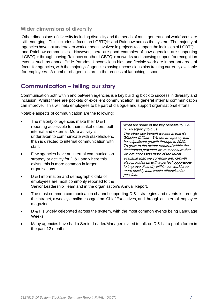### **Wider dimensions of diversity**

Other dimensions of diversity including disability and the needs of multi-generational workforces are still emerging. This includes a focus on LGBTQI+ and Rainbow across the system. The majority of agencies have not undertaken work or been involved in projects to support the inclusion of LGBTQI+ and Rainbow communities. However, there are good examples of how agencies are supporting LGBTQI+ through having Rainbow or other LGBTQI+ networks and showing support for recognition events, such as annual Pride Parades. Unconscious bias and flexible work are important areas of focus for agencies, with the majority of agencies having unconscious bias training currently available for employees. A number of agencies are in the process of launching it soon.

## **Communication – telling our story**

Communication both within and between agencies is a key building block to success in diversity and inclusion. Whilst there are pockets of excellent communication, in general internal communication can improve. This will help employees to be part of dialogue and support organisational efforts.

Notable aspects of communication are the following:

- The majority of agencies make their D & I reporting accessible to their stakeholders, both internal and external. More activity is undertaken to communicate with stakeholders, than is directed to internal communication with staff.
- Few agencies have an internal communication strategy or activity for D & I and where this exists, this is more common in larger organisations.

What are some of the key benefits to D & I? An agency told us: The other key benefit we see is that it's 'Mission Critical'. We are an agency that has significant growth through to 2020. To grow to the extent required within the timeframes provided we must ensure that we are accessing more of the talent available than we currently are. Growth also provides us with a perfect opportunity to improve diversity within our workforce more quickly than would otherwise be possible.

- D & I information and demographic data of employees are most commonly reported to the Senior Leadership Team and in the organisation's Annual Report.
- The most common communication channel supporting D & I strategies and events is through the intranet, a weekly email/message from Chief Executives, and through an internal employee magazine.
- D & I is widely celebrated across the system, with the most common events being Language Weeks.
- Many agencies have had a Senior Leader/Manager invited to talk on D & I at a public forum in the past 12 months.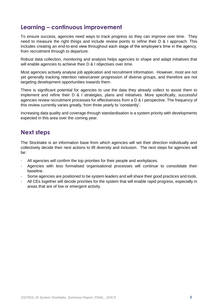## **Learning – continuous improvement**

To ensure success, agencies need ways to track progress so they can improve over time. They need to measure the right things and include review points to refine their D & I approach. This includes creating an end-to-end view throughout each stage of the employee's time in the agency, from recruitment through to departure.

Robust data collection, monitoring and analysis helps agencies to shape and adapt initiatives that will enable agencies to achieve their D & I objectives over time.

Most agencies actively analyse job application and recruitment information. However, most are not yet generally tracking retention rates/career progression of diverse groups, and therefore are not targeting development opportunities towards them.

There is significant potential for agencies to use the data they already collect to assist them to implement and refine their D & I strategies, plans and initiatives. More specifically, successful agencies review recruitment processes for effectiveness from a D & I perspective. The frequency of this review currently varies greatly, from three yearly to 'constantly'.

Increasing data quality and coverage through standardisation is a system priority with developments expected in this area over the coming year.

## **Next steps**

The Stocktake is an information base from which agencies will set their direction individually and collectively decide their next actions to lift diversity and inclusion. The next steps for agencies will be:

- All agencies will confirm the top priorities for their people and workplaces.
- Agencies with less formalised organisational processes will continue to consolidate their baseline.
- Some agencies are positioned to be system leaders and will share their good practices and tools.
- All CEs together will decide priorities for the system that will enable rapid progress, especially in areas that are of low or emergent activity.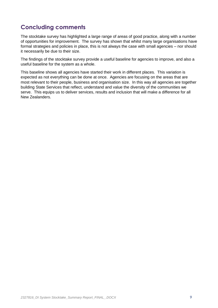## **Concluding comments**

The stocktake survey has highlighted a large range of areas of good practice, along with a number of opportunities for improvement. The survey has shown that whilst many large organisations have formal strategies and policies in place, this is not always the case with small agencies – nor should it necessarily be due to their size.

The findings of the stocktake survey provide a useful baseline for agencies to improve, and also a useful baseline for the system as a whole.

This baseline shows all agencies have started their work in different places. This variation is expected as not everything can be done at once. Agencies are focusing on the areas that are most relevant to their people, business and organisation size. In this way all agencies are together building State Services that reflect, understand and value the diversity of the communities we serve. This equips us to deliver services, results and inclusion that will make a difference for all New Zealanders.